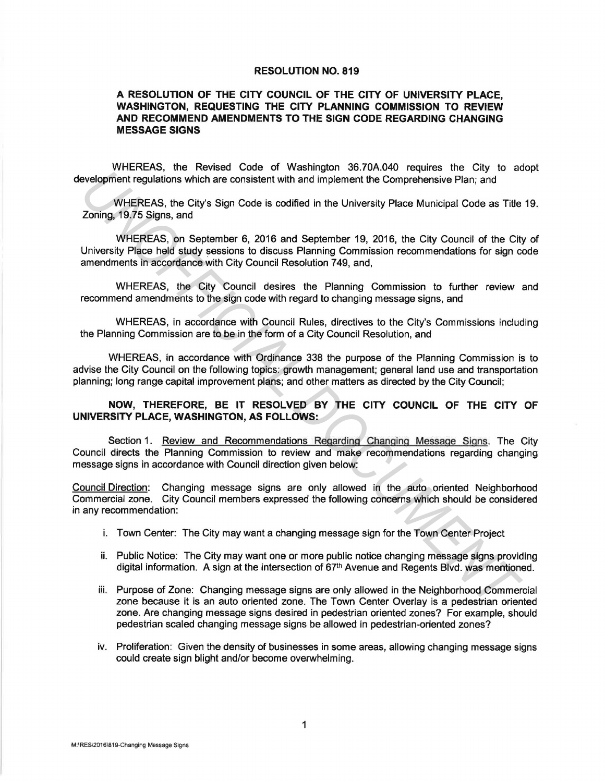## **RESOLUTION NO. 819**

## **A RESOLUTION OF THE CITY COUNCIL OF THE CITY OF UNIVERSITY PLACE, WASHINGTON, REQUESTING THE CITY PLANNING COMMISSION TO REVIEW AND RECOMMEND AMENDMENTS TO THE SIGN CODE REGARDING CHANGING MESSAGE SIGNS**

WHEREAS, the Revised Code of Washington 36.70A.040 requires the City to adopt development regulations which are consistent with and implement the Comprehensive Plan; and

WHEREAS, the City's Sign Code is codified in the University Place Municipal Code as Title 19. Zoning, 19.75 Signs, and

WHEREAS, on September 6, 2016 and September 19, 2016, the City Council of the City of University Place held study sessions to discuss Planning Commission recommendations for sign code amendments in accordance with City Council Resolution 749, and, **EVALUATION**<br> **EVALUATION**<br> **EVALUATION**<br> **EVALUATION**<br> **EVALUATION**<br> **EVALUATION**<br> **EVALUATION**<br> **EVALUATION**<br> **EVALUATION**<br> **EVALUATION**<br> **EVALUATION**<br> **EVALUATION**<br> **EVALUATION**<br> **EVALUATION**<br> **EVALUATION**<br> **EVALUATION** 

WHEREAS, the City Council desires the Planning Commission to further review and recommend amendments to the sign code with regard to changing message signs, and

WHEREAS, in accordance with Council Rules, directives to the City's Commissions including the Planning Commission are to be in the form of a City Council Resolution, and

WHEREAS, in accordance with Ordinance 338 the purpose of the Planning Commission is to advise the City Council on the following topics: growth management; general land use and transportation planning; long range capital improvement plans; and other matters as directed by the City Council;

## **NOW, THEREFORE, BE IT RESOLVED BY THE CITY COUNCIL OF THE CITY OF UNIVERSITY PLACE, WASHINGTON, AS FOLLOWS:**

Section 1. Review and Recommendations Regarding Changing Message Signs. The City Council directs the Planning Commission to review and make recommendations regarding changing message signs in accordance with Council direction given below:

Council Direction: Changing message signs are only allowed in the auto oriented Neighborhood Commercial zone. City Council members expressed the following concerns which should be considered in any recommendation:

- i. Town Center: The City may want a changing message sign for the Town Center Project
- ii. Public Notice: The City may want one or more public notice changing message signs providing digital information. A sign at the intersection of 67<sup>th</sup> Avenue and Regents Blvd. was mentioned.
- iii. Purpose of Zone: Changing message signs are only allowed in the Neighborhood Commercial zone because it is an auto oriented zone. The Town Center Overlay is a pedestrian oriented zone. Are changing message signs desired in pedestrian oriented zones? For example, should pedestrian scaled changing message signs be allowed in pedestrian-oriented zones?
- iv. Proliferation: Given the density of businesses in some areas, allowing changing message signs could create sign blight and/or become overwhelming.